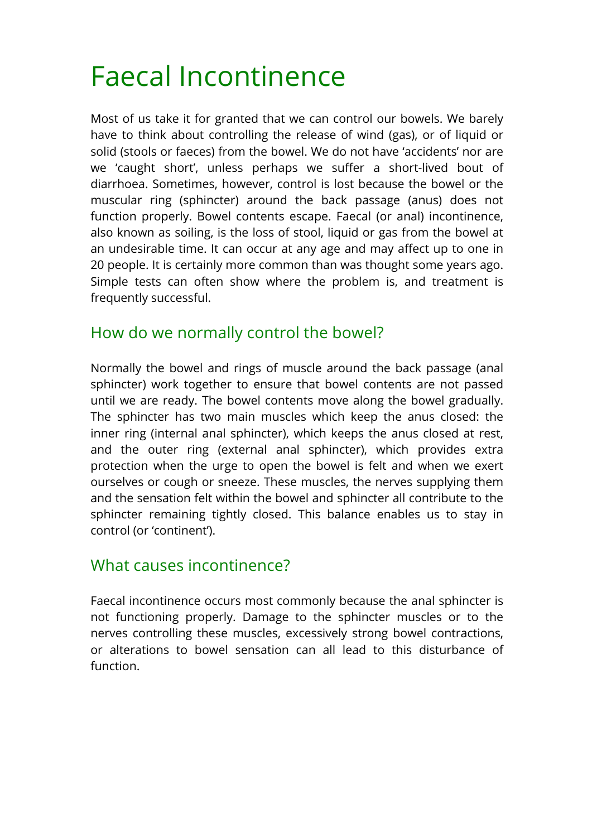# Faecal Incontinence

Most of us take it for granted that we can control our bowels. We barely have to think about controlling the release of wind (gas), or of liquid or solid (stools or faeces) from the bowel. We do not have 'accidents' nor are we 'caught short', unless perhaps we suffer a short-lived bout of diarrhoea. Sometimes, however, control is lost because the bowel or the muscular ring (sphincter) around the back passage (anus) does not function properly. Bowel contents escape. Faecal (or anal) incontinence, also known as soiling, is the loss of stool, liquid or gas from the bowel at an undesirable time. It can occur at any age and may affect up to one in 20 people. It is certainly more common than was thought some years ago. Simple tests can often show where the problem is, and treatment is frequently successful.

#### How do we normally control the bowel?

Normally the bowel and rings of muscle around the back passage (anal sphincter) work together to ensure that bowel contents are not passed until we are ready. The bowel contents move along the bowel gradually. The sphincter has two main muscles which keep the anus closed: the inner ring (internal anal sphincter), which keeps the anus closed at rest, and the outer ring (external anal sphincter), which provides extra protection when the urge to open the bowel is felt and when we exert ourselves or cough or sneeze. These muscles, the nerves supplying them and the sensation felt within the bowel and sphincter all contribute to the sphincter remaining tightly closed. This balance enables us to stay in control (or 'continent').

#### What causes incontinence?

Faecal incontinence occurs most commonly because the anal sphincter is not functioning properly. Damage to the sphincter muscles or to the nerves controlling these muscles, excessively strong bowel contractions, or alterations to bowel sensation can all lead to this disturbance of function.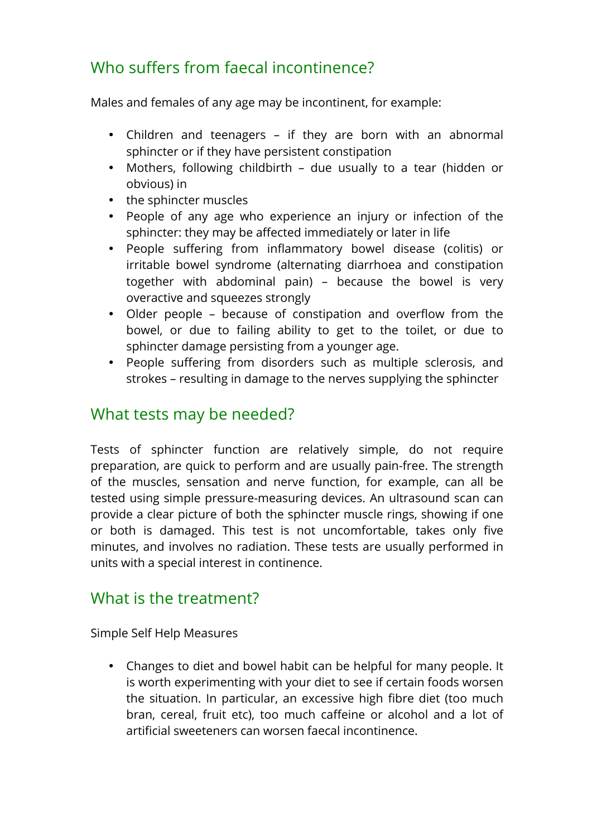### Who suffers from faecal incontinence?

Males and females of any age may be incontinent, for example:

- Children and teenagers if they are born with an abnormal sphincter or if they have persistent constipation
- Mothers, following childbirth due usually to a tear (hidden or obvious) in
- the sphincter muscles
- People of any age who experience an injury or infection of the sphincter: they may be affected immediately or later in life
- People suffering from inflammatory bowel disease (colitis) or irritable bowel syndrome (alternating diarrhoea and constipation together with abdominal pain) – because the bowel is very overactive and squeezes strongly
- Older people because of constipation and overflow from the bowel, or due to failing ability to get to the toilet, or due to sphincter damage persisting from a younger age.
- People suffering from disorders such as multiple sclerosis, and strokes – resulting in damage to the nerves supplying the sphincter

## What tests may be needed?

Tests of sphincter function are relatively simple, do not require preparation, are quick to perform and are usually pain-free. The strength of the muscles, sensation and nerve function, for example, can all be tested using simple pressure-measuring devices. An ultrasound scan can provide a clear picture of both the sphincter muscle rings, showing if one or both is damaged. This test is not uncomfortable, takes only five minutes, and involves no radiation. These tests are usually performed in units with a special interest in continence.

#### What is the treatment?

Simple Self Help Measures

• Changes to diet and bowel habit can be helpful for many people. It is worth experimenting with your diet to see if certain foods worsen the situation. In particular, an excessive high fibre diet (too much bran, cereal, fruit etc), too much caffeine or alcohol and a lot of artificial sweeteners can worsen faecal incontinence.